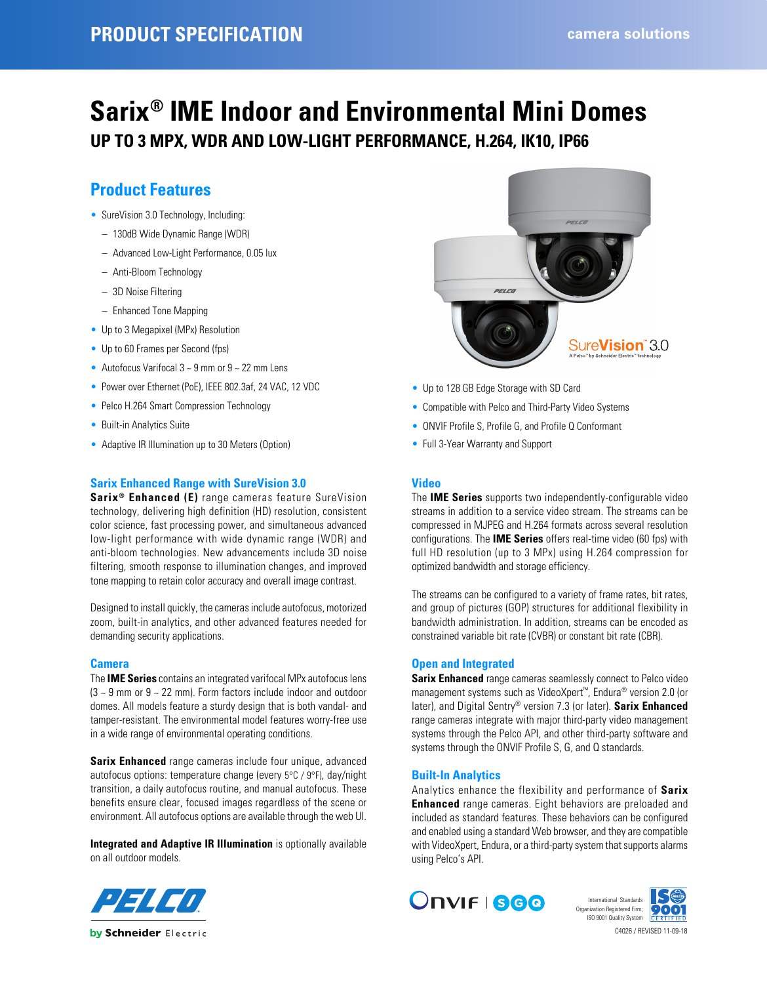# **Sarix® IME Indoor and Environmental Mini Domes UP TO 3 MPX, WDR AND LOW-LIGHT PERFORMANCE, H.264, IK10, IP66**

## **Product Features**

- SureVision 3.0 Technology, Including:
	- 130dB Wide Dynamic Range (WDR)
	- Advanced Low-Light Performance, 0.05 lux
	- Anti-Bloom Technology
	- 3D Noise Filtering
	- Enhanced Tone Mapping
- Up to 3 Megapixel (MPx) Resolution
- Up to 60 Frames per Second (fps)
- Autofocus Varifocal  $3 \sim 9$  mm or  $9 \sim 22$  mm Lens
- Power over Ethernet (PoE), IEEE 802.3af, 24 VAC, 12 VDC
- Pelco H.264 Smart Compression Technology
- Built-in Analytics Suite
- Adaptive IR Illumination up to 30 Meters (Option)

#### **Sarix Enhanced Range with SureVision 3.0**

**Sarix® Enhanced (E)** range cameras feature SureVision technology, delivering high definition (HD) resolution, consistent color science, fast processing power, and simultaneous advanced low-light performance with wide dynamic range (WDR) and anti-bloom technologies. New advancements include 3D noise filtering, smooth response to illumination changes, and improved tone mapping to retain color accuracy and overall image contrast.

Designed to install quickly, the cameras include autofocus, motorized zoom, built-in analytics, and other advanced features needed for demanding security applications.

#### **Camera**

The **IME Series** contains an integrated varifocal MPx autofocus lens (3 ~ 9 mm or 9 ~ 22 mm). Form factors include indoor and outdoor domes. All models feature a sturdy design that is both vandal- and tamper-resistant. The environmental model features worry-free use in a wide range of environmental operating conditions.

**Sarix Enhanced** range cameras include four unique, advanced autofocus options: temperature change (every 5°C / 9°F), day/night transition, a daily autofocus routine, and manual autofocus. These benefits ensure clear, focused images regardless of the scene or environment. All autofocus options are available through the web UI.

**Integrated and Adaptive IR Illumination** is optionally available on all outdoor models.



- Up to 128 GB Edge Storage with SD Card
- Compatible with Pelco and Third-Party Video Systems
- ONVIF Profile S, Profile G, and Profile Q Conformant
- Full 3-Year Warranty and Support

### **Video**

The **IME Series** supports two independently-configurable video streams in addition to a service video stream. The streams can be compressed in MJPEG and H.264 formats across several resolution configurations. The **IME Series** offers real-time video (60 fps) with full HD resolution (up to 3 MPx) using H.264 compression for optimized bandwidth and storage efficiency.

The streams can be configured to a variety of frame rates, bit rates, and group of pictures (GOP) structures for additional flexibility in bandwidth administration. In addition, streams can be encoded as constrained variable bit rate (CVBR) or constant bit rate (CBR).

#### **Open and Integrated**

**Sarix Enhanced** range cameras seamlessly connect to Pelco video management systems such as VideoXpert™, Endura® version 2.0 (or later), and Digital Sentry® version 7.3 (or later). **Sarix Enhanced** range cameras integrate with major third-party video management systems through the Pelco API, and other third-party software and systems through the ONVIF Profile S, G, and Q standards.

#### **Built-In Analytics**

Analytics enhance the flexibility and performance of **Sarix Enhanced** range cameras. Eight behaviors are preloaded and included as standard features. These behaviors can be configured and enabled using a standard Web browser, and they are compatible with VideoXpert, Endura, or a third-party system that supports alarms using Pelco's API.





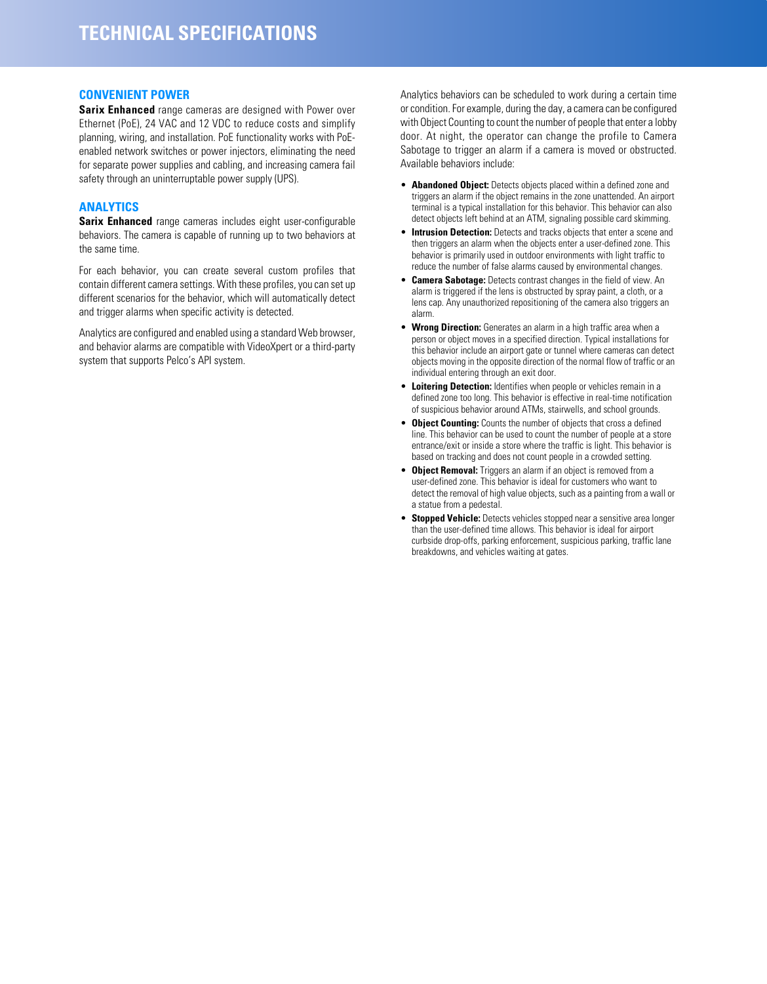#### **CONVENIENT POWER**

**Sarix Enhanced** range cameras are designed with Power over Ethernet (PoE), 24 VAC and 12 VDC to reduce costs and simplify planning, wiring, and installation. PoE functionality works with PoEenabled network switches or power injectors, eliminating the need for separate power supplies and cabling, and increasing camera fail safety through an uninterruptable power supply (UPS).

## **ANALYTICS**

**Sarix Enhanced** range cameras includes eight user-configurable behaviors. The camera is capable of running up to two behaviors at the same time.

For each behavior, you can create several custom profiles that contain different camera settings. With these profiles, you can set up different scenarios for the behavior, which will automatically detect and trigger alarms when specific activity is detected.

Analytics are configured and enabled using a standard Web browser, and behavior alarms are compatible with VideoXpert or a third-party system that supports Pelco's API system.

Analytics behaviors can be scheduled to work during a certain time or condition. For example, during the day, a camera can be configured with Object Counting to count the number of people that enter a lobby door. At night, the operator can change the profile to Camera Sabotage to trigger an alarm if a camera is moved or obstructed. Available behaviors include:

- **Abandoned Object:** Detects objects placed within a defined zone and triggers an alarm if the object remains in the zone unattended. An airport terminal is a typical installation for this behavior. This behavior can also detect objects left behind at an ATM, signaling possible card skimming.
- **Intrusion Detection:** Detects and tracks objects that enter a scene and then triggers an alarm when the objects enter a user-defined zone. This behavior is primarily used in outdoor environments with light traffic to reduce the number of false alarms caused by environmental changes.
- **Camera Sabotage:** Detects contrast changes in the field of view. An alarm is triggered if the lens is obstructed by spray paint, a cloth, or a lens cap. Any unauthorized repositioning of the camera also triggers an alarm.
- **Wrong Direction:** Generates an alarm in a high traffic area when a person or object moves in a specified direction. Typical installations for this behavior include an airport gate or tunnel where cameras can detect objects moving in the opposite direction of the normal flow of traffic or an individual entering through an exit door.
- **Loitering Detection:** Identifies when people or vehicles remain in a defined zone too long. This behavior is effective in real-time notification of suspicious behavior around ATMs, stairwells, and school grounds.
- **Object Counting:** Counts the number of objects that cross a defined line. This behavior can be used to count the number of people at a store entrance/exit or inside a store where the traffic is light. This behavior is based on tracking and does not count people in a crowded setting.
- **Object Removal:** Triggers an alarm if an object is removed from a user-defined zone. This behavior is ideal for customers who want to detect the removal of high value objects, such as a painting from a wall or a statue from a pedestal.
- **Stopped Vehicle:** Detects vehicles stopped near a sensitive area longer than the user-defined time allows. This behavior is ideal for airport curbside drop-offs, parking enforcement, suspicious parking, traffic lane breakdowns, and vehicles waiting at gates.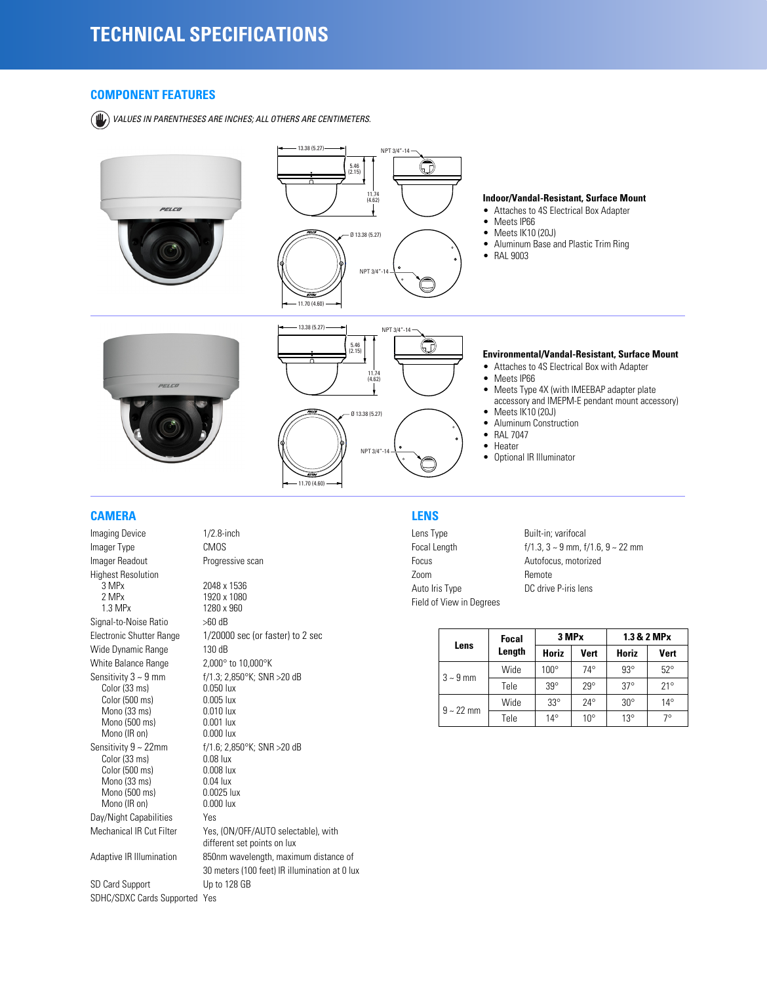#### **COMPONENT FEATURES**

*VALUES IN PARENTHESES ARE INCHES; ALL OTHERS ARE CENTIMETERS.*



### **CAMERA**

Imaging Device 1/2.8-inch Imager Type CMOS Imager Readout Progressive scan Highest Resolution 3 MPx 2048 x 1536<br>2 MPx 1920 x 1080 2 MPx 1920 x 1080<br>1.3 MPx 1280 x 960 Signal-to-Noise Ratio >60 dB Wide Dynamic Range 130 dB White Balance Range 2,000° to 10,000°K Sensitivity  $3 \sim 9$  mm f/1.3;  $2,850^{\circ}$ K; SNR >20 dB<br>Color (33 ms) 0.050 lux Color (33 ms) 0.050 lux<br>Color (500 ms) 0.005 lux Color (500 ms) 0.005 lux<br>
Mono (33 ms) 0.010 lux Mono (33 ms) 0.010 lux<br>Mono (500 ms) 0.001 lux Mono (500 ms) 0.001 lux<br>
Mono (IR on) 0.000 lux Mono (IR on) Sensitivity  $9 \sim 22$ mm f/1.6; 2,850°K; SNR >20 dB<br>Color (33 ms) 0.08 lux Color (33 ms) 0.08 lux<br>Color (500 ms) 0.008 lux Color (500 ms) 0.008 lux<br>Mono (33 ms) 0.04 lux Mono (33 ms) 0.04 lux<br>Mono (500 ms) 0.0025 lux Mono (500 ms) 0.0025 lux<br>Mono (IR on) 0.000 lux Mono (IR on) Day/Night Capabilities Yes SD Card Support Up to 128 GB

SDHC/SDXC Cards Supported Yes

1280 x 960 Electronic Shutter Range 1/20000 sec (or faster) to 2 sec Mechanical IR Cut Filter Yes, (ON/OFF/AUTO selectable), with different set points on lux Adaptive IR Illumination 850nm wavelength, maximum distance of 30 meters (100 feet) IR illumination at 0 lux

## **LENS**

Lens Type Built-in; varifocal Focus **Autofocus**, motorized Zoom Remote Auto Iris Type DC drive P-iris lens Field of View in Degrees

Focal Length f/1.3, 3 ~ 9 mm, f/1.6, 9 ~ 22 mm

| Lens          | <b>Focal</b> | 3 MPx        |              | 1.3 & 2 MPx  |              |
|---------------|--------------|--------------|--------------|--------------|--------------|
|               | Length       | Horiz        | <b>Vert</b>  | Horiz        | <b>Vert</b>  |
| $3 \sim 9$ mm | Wide         | $100^\circ$  | $74^\circ$   | $93^\circ$   | $52^{\circ}$ |
|               | Tele         | $39^\circ$   | $29^\circ$   | $37^\circ$   | $21^{\circ}$ |
| $9 - 22$ mm   | Wide         | $33^\circ$   | $24^{\circ}$ | $30^{\circ}$ | $14^{\circ}$ |
|               | Tele         | $14^{\circ}$ | $10^{\circ}$ | $13^{\circ}$ | 70           |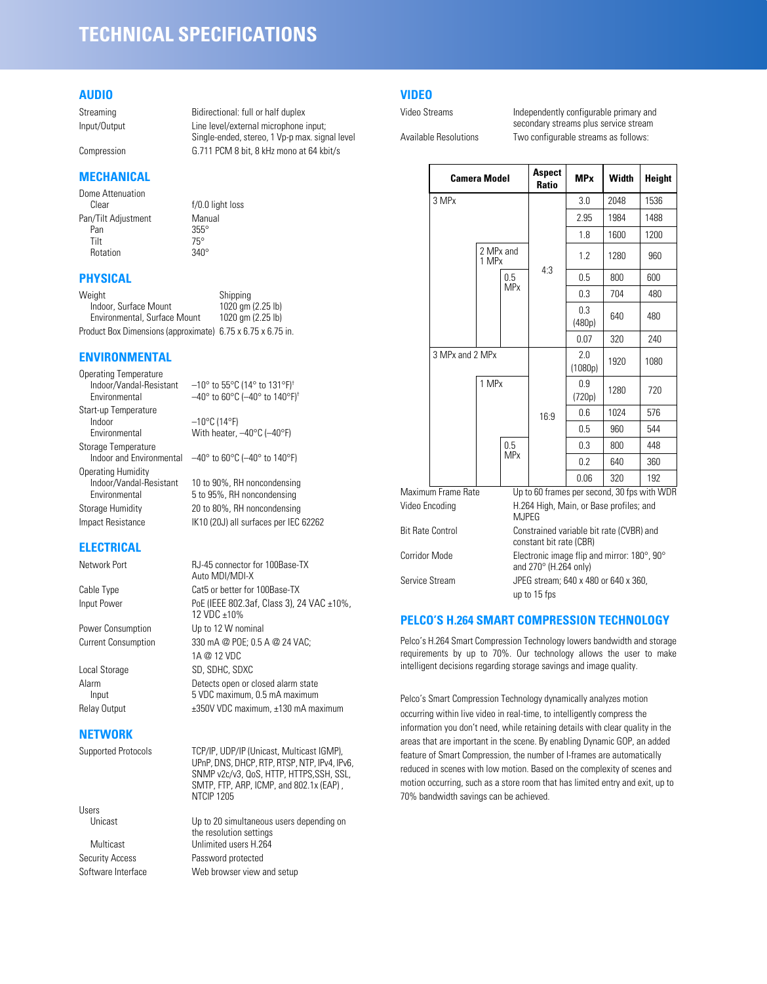## **TECHNICAL SPECIFICATIONS**

#### **AUDIO**

Streaming Bidirectional: full or half duplex Input/Output Line level/external microphone input;

Compression G.711 PCM 8 bit, 8 kHz mono at 64 kbit/s

## **MECHANICAL**

Dome Attenuation<br>Clear Pan/Tilt Adjustment Manual<br>Pan 355° Pan 355°<br>Tilt 75° Tilt 75° Rotation 340°

 $f/0.0$  light loss

## **PHYSICAL**

| Weight                                                      | Shipping          |
|-------------------------------------------------------------|-------------------|
| Indoor, Surface Mount                                       | 1020 gm (2.25 lb) |
| Environmental, Surface Mount                                | 1020 gm (2.25 lb) |
| Product Box Dimensions (approximate) 6.75 x 6.75 x 6.75 in. |                   |

## **ENVIRONMENTAL**

Operating Temperature<br>Indoor/Vandal-Resistant Indoor/Vandal-Resistant –10° to 55°C (14° to 131°F)<sup>†</sup><br>Environmental –40° to 60°C (-40° to 140°F Start-up Temperature<br>Indoor Indoor –10°C (14°F)<br>Environmental – With heater. Storage Temperature<br>Indoor and Environmental Operating Humidity<br>Indoor/Vandal-Resistant

 $-40^{\circ}$  to 60°C ( $-40^{\circ}$  to 140°F)<sup>†</sup>

Single-ended, stereo, 1 Vp-p max. signal level

With heater,  $-40^{\circ}$ C ( $-40^{\circ}$ F)

 $-40^\circ$  to 60°C ( $-40^\circ$  to 140°F)

10 to 90%. RH noncondensing Environmental 5 to 95%, RH noncondensing Storage Humidity 20 to 80%, RH noncondensing Impact Resistance IK10 (20J) all surfaces per IEC 62262

## **ELECTRICAL**

Network Port RJ-45 connector for 100Base-TX

#### **NETWORK**

Users

Auto MDI/MDI-X Cable Type Cat5 or better for 100Base-TX Input Power PoE (IEEE 802.3af, Class 3), 24 VAC ±10%, 12 VDC ±10% Power Consumption Up to 12 W nominal Current Consumption 330 mA @ POE; 0.5 A @ 24 VAC; 1A @ 12 VDC Local Storage SD, SDHC, SDXC Alarm Detects open or closed alarm state<br>Input 5 VDC maximum, 0.5 mA maximum 5 VDC maximum, 0.5 mA maximum Relay Output  $\pm$ 350V VDC maximum,  $\pm$ 130 mA maximum

Supported Protocols TCP/IP, UDP/IP (Unicast, Multicast IGMP), UPnP, DNS, DHCP, RTP, RTSP, NTP, IPv4, IPv6, SNMP v2c/v3, QoS, HTTP, HTTPS,SSH, SSL, SMTP, FTP, ARP, ICMP, and 802.1x (EAP) , NTCIP 1205

Unicast Up to 20 simultaneous users depending on the resolution settings Multicast Unlimited users H.264 Security Access Password protected Software Interface Web browser view and setup

## **VIDEO**

Video Streams **Independently configurable primary and** secondary streams plus service stream Available Resolutions Two configurable streams as follows:

|  | <b>Camera Model</b>                                  |                    | Aspect<br>Ratio                                                                        | <b>MP</b> <sub>x</sub> | Width         | <b>Height</b> |      |
|--|------------------------------------------------------|--------------------|----------------------------------------------------------------------------------------|------------------------|---------------|---------------|------|
|  | 3 MPx                                                |                    |                                                                                        |                        | 3.0           | 2048          | 1536 |
|  |                                                      |                    |                                                                                        |                        | 2.95          | 1984          | 1488 |
|  |                                                      |                    |                                                                                        |                        | 1.8           | 1600          | 1200 |
|  |                                                      | 2 MPx and<br>1 MPx |                                                                                        |                        | 1.2           | 1280          | 960  |
|  |                                                      |                    | 0.5                                                                                    | 4:3                    | 0.5           | 800           | 600  |
|  |                                                      |                    | <b>MP<sub>x</sub></b>                                                                  |                        | 0.3           | 704           | 480  |
|  |                                                      |                    |                                                                                        |                        | 0.3<br>(480p) | 640           | 480  |
|  |                                                      |                    |                                                                                        |                        | 0.07          | 320           | 240  |
|  | 3 MPx and 2 MPx<br>1 MPx                             |                    |                                                                                        | 2.0<br>(1080p)         | 1920          | 1080          |      |
|  |                                                      |                    |                                                                                        |                        | 0.9<br>(720p) | 1280          | 720  |
|  |                                                      |                    |                                                                                        | 16:9                   | 0.6           | 1024          | 576  |
|  |                                                      |                    |                                                                                        |                        | 0.5           | 960           | 544  |
|  |                                                      |                    | 0.5                                                                                    |                        | 0.3           | 800           | 448  |
|  |                                                      |                    | <b>MP</b> x                                                                            |                        | 0.2           | 640           | 360  |
|  |                                                      |                    |                                                                                        |                        | 0.06          | 320           | 192  |
|  | Maximum Frame Rate<br>Video Encoding<br><b>MJPEG</b> |                    | Up to 60 frames per second, 30 fps with WDR<br>H.264 High, Main, or Base profiles; and |                        |               |               |      |
|  | <b>Bit Rate Control</b>                              |                    | Constrained variable bit rate (CVBR) and<br>constant bit rate (CBR)                    |                        |               |               |      |
|  | Corridor Mode                                        |                    | Electronic image flip and mirror: 180°, 90°<br>and 270° (H.264 only)                   |                        |               |               |      |
|  | Service Stream                                       |                    | JPEG stream; 640 x 480 or 640 x 360,<br>up to 15 fps                                   |                        |               |               |      |

## **PELCO'S H.264 SMART COMPRESSION TECHNOLOGY**

Pelco's H.264 Smart Compression Technology lowers bandwidth and storage requirements by up to 70%. Our technology allows the user to make intelligent decisions regarding storage savings and image quality.

Pelco's Smart Compression Technology dynamically analyzes motion occurring within live video in real-time, to intelligently compress the information you don't need, while retaining details with clear quality in the areas that are important in the scene. By enabling Dynamic GOP, an added feature of Smart Compression, the number of I-frames are automatically reduced in scenes with low motion. Based on the complexity of scenes and motion occurring, such as a store room that has limited entry and exit, up to 70% bandwidth savings can be achieved.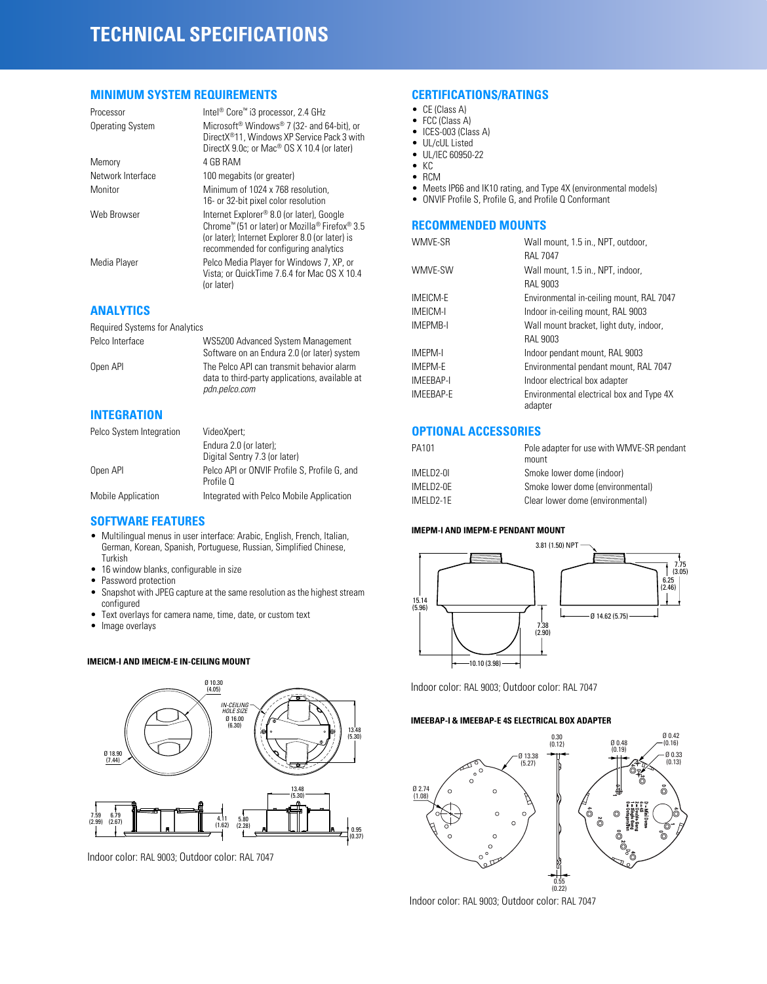## **TECHNICAL SPECIFICATIONS**

#### **MINIMUM SYSTEM REQUIREMENTS**

| Processor               | Intel® Core™ i3 processor, 2.4 GHz                                                                                                                                                      |
|-------------------------|-----------------------------------------------------------------------------------------------------------------------------------------------------------------------------------------|
| <b>Operating System</b> | Microsoft <sup>®</sup> Windows <sup>®</sup> 7 (32- and 64-bit), or<br>DirectX <sup>®</sup> 11. Windows XP Service Pack 3 with<br>DirectX 9.0c; or Mac <sup>®</sup> OS X 10.4 (or later) |
| Memory                  | 4 GB RAM                                                                                                                                                                                |
| Network Interface       | 100 megabits (or greater)                                                                                                                                                               |
| Monitor                 | Minimum of 1024 x 768 resolution.<br>16- or 32-bit pixel color resolution                                                                                                               |
| Web Browser             | Internet Explorer® 8.0 (or later), Google<br>Chrome™ (51 or later) or Mozilla® Firefox® 3.5<br>(or later); Internet Explorer 8.0 (or later) is<br>recommended for configuring analytics |
| Media Player            | Pelco Media Player for Windows 7, XP, or<br>Vista; or QuickTime 7.6.4 for Mac OS X 10.4<br>(or later)                                                                                   |

## **ANALYTICS**

Required Systems for Analytics

Pelco Interface WS5200 Advanced System Management Software on an Endura 2.0 (or later) system Open API The Pelco API can transmit behavior alarm data to third-party applications, available at *pdn.pelco.com*

## **INTEGRATION**

| Pelco System Integration | VideoXpert;                                               |
|--------------------------|-----------------------------------------------------------|
|                          | Endura 2.0 (or later):                                    |
|                          | Digital Sentry 7.3 (or later)                             |
| Open API                 | Pelco API or ONVIF Profile S. Profile G. and<br>Profile O |
| Mobile Application       | Integrated with Pelco Mobile Application                  |

## **SOFTWARE FEATURES**

- Multilingual menus in user interface: Arabic, English, French, Italian, German, Korean, Spanish, Portuguese, Russian, Simplified Chinese, Turkish
- 16 window blanks, configurable in size
- Password protection
- Snapshot with JPEG capture at the same resolution as the highest stream configured
- Text overlays for camera name, time, date, or custom text
- Image overlays

#### **IMEICM-I AND IMEICM-E IN-CEILING MOUNT**



Indoor color: RAL 9003; Outdoor color: RAL 7047

#### **CERTIFICATIONS/RATINGS**

- CE (Class A)
- FCC (Class A)
- ICES-003 (Class A) • UL/cUL Listed
- UL/IEC 60950-22
- KC
- RCM
- Meets IP66 and IK10 rating, and Type 4X (environmental models)
- ONVIF Profile S, Profile G, and Profile Q Conformant

## **RECOMMENDED MOUNTS**

| WMVE-SR         | Wall mount, 1.5 in., NPT, outdoor,                  |
|-----------------|-----------------------------------------------------|
|                 | <b>RAL 7047</b>                                     |
| WMVE-SW         | Wall mount, 1.5 in., NPT, indoor,                   |
|                 | RAL 9003                                            |
| <b>IMEICM-E</b> | Environmental in-ceiling mount, RAL 7047            |
| <b>IMEICM-I</b> | Indoor in-ceiling mount, RAL 9003                   |
| <b>IMEPMB-I</b> | Wall mount bracket, light duty, indoor,             |
|                 | RAL 9003                                            |
| <b>IMEPM-I</b>  | Indoor pendant mount, RAL 9003                      |
| <b>IMEPM-E</b>  | Environmental pendant mount, RAL 7047               |
| IMEEBAP-I       | Indoor electrical box adapter                       |
| IMEEBAP-E       | Environmental electrical box and Type 4X<br>adapter |

## **OPTIONAL ACCESSORIES**

| PA101      | Pole adapter for use with WMVE-SR pendant<br>mount |
|------------|----------------------------------------------------|
| IMELD2-0I  | Smoke lower dome (indoor)                          |
| IMFI D2-0F | Smoke lower dome (environmental)                   |
| IMFI D2-1F | Clear lower dome (environmental)                   |

#### **IMEPM-I AND IMEPM-E PENDANT MOUNT**



Indoor color: RAL 9003; Outdoor color: RAL 7047

#### **IMEEBAP-I & IMEEBAP-E 4S ELECTRICAL BOX ADAPTER**



Indoor color: RAL 9003; Outdoor color: RAL 7047